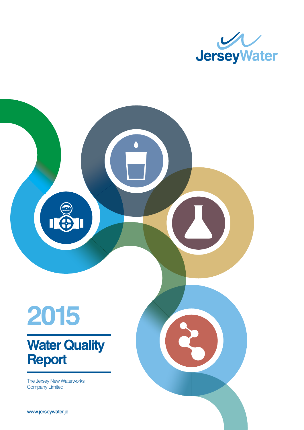

# Δ **2015 Water Quality Report** The Jersey New Waterworks<br>Company Limited mis series, went and www.jerseywater.je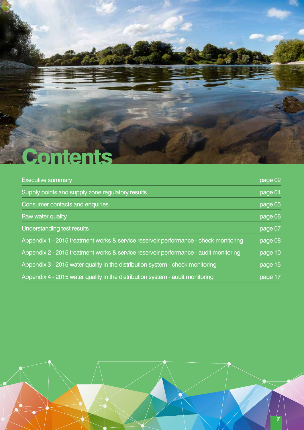

| <b>Executive summary</b>                                                             | page 02 |
|--------------------------------------------------------------------------------------|---------|
| Supply points and supply zone regulatory results                                     | page 04 |
| Consumer contacts and enquiries                                                      | page 05 |
| Raw water quality                                                                    | page 06 |
| Understanding test results                                                           | page 07 |
| Appendix 1 - 2015 treatment works & service reservoir performance - check monitoring | page 08 |
| Appendix 2 - 2015 treatment works & service reservoir performance - audit monitoring | page 10 |
| Appendix 3 - 2015 water quality in the distribution system - check monitoring        | page 15 |
| Appendix 4 - 2015 water quality in the distribution system - audit monitoring        | page 17 |

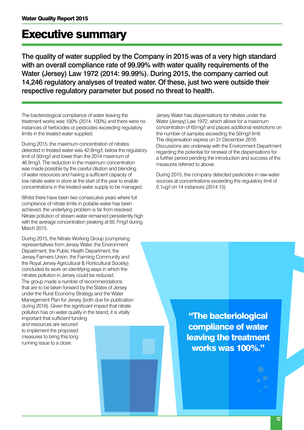# Executive summary

The quality of water supplied by the Company in 2015 was of a very high standard with an overall compliance rate of 99.99% with water quality requirements of the Water (Jersey) Law 1972 (2014: 99.99%). During 2015, the company carried out 14,246 regulatory analyses of treated water. Of these, just two were outside their respective regulatory parameter but posed no threat to health.

The bacteriological compliance of water leaving the treatment works was 100% (2014: 100%) and there were no instances of herbicides or pesticides exceeding regulatory limits in the treated water supplied.

During 2015, the maximum concentration of nitrates detected in treated water was 42.8mg/l; below the regulatory limit of 50mg/l and lower than the 2014 maximum of 46.9mg/l. The reduction in the maximum concentration was made possible by the careful dilution and blending of water resources and having a sufficient capacity of low nitrate water in store at the start of the year to enable concentrations in the treated water supply to be managed.

Whilst there have been two consecutive years where full compliance of nitrate limits in potable water has been achieved, the underlying problem is far from resolved. Nitrate pollution of stream water remained persistently high with the average concentration peaking at 65.7mg/l during March 2015.

During 2015, the Nitrate Working Group (comprising representatives from Jersey Water, the Environment Department, the Public Health Department, the Jersey Farmers Union, the Farming Community and the Royal Jersey Agricultural & Horticultural Society) concluded its work on identifying ways in which the nitrates pollution in Jersey could be reduced. The group made a number of recommendations that are to be taken forward by the States of Jersey under the Rural Economy Strategy and the Water Management Plan for Jersey (both due for publication during 2016). Given the significant impact that nitrate pollution has on water quality in the Island, it is vitally

important that sufficient funding and resources are secured to implement the proposed measures to bring this long running issue to a close.

Jersey Water has dispensations for nitrates under the Water (Jersey) Law 1972, which allows for a maximum concentration of 65mg/l and places additional restrictions on the number of samples exceeding the 50mg/l limit. The dispensation expires on 31 December 2016. Discussions are underway with the Environment Department regarding the potential for renewal of the dispensations for a further period pending the introduction and success of the measures referred to above.

During 2015, the company detected pesticides in raw water sources at concentrations exceeding the regulatory limit of 0.1ug/l on 14 instances (2014:15).

> "The bacteriological compliance of water leaving the treatment works was 100%."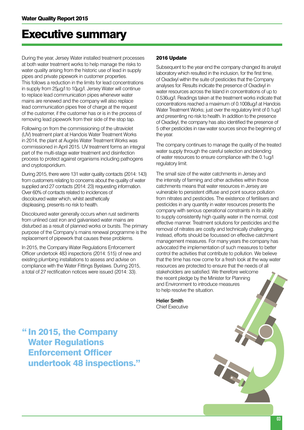### Executive summary

During the year, Jersey Water installed treatment processes at both water treatment works to help manage the risks to water quality arising from the historic use of lead in supply pipes and private pipework in customer properties. This follows a reduction in the limits for lead concentrations in supply from 25µg/l to 10µg/l. Jersey Water will continue to replace lead communication pipes whenever water mains are renewed and the company will also replace lead communication pipes free of charge at the request of the customer, if the customer has or is in the process of removing lead pipework from their side of the stop tap.

Following on from the commissioning of the ultraviolet (UV) treatment plant at Handois Water Treatment Works in 2014, the plant at Augrès Water Treatment Works was commissioned in April 2015. UV treatment forms an integral part of the multi-stage water treatment and disinfection process to protect against organisms including pathogens and cryptosporidium.

During 2015, there were 131 water quality contacts (2014: 143) from customers relating to concerns about the quality of water supplied and 27 contacts (2014: 23) requesting information. Over 60% of contacts related to incidences of discoloured water which, whilst aesthetically displeasing, presents no risk to health.

Discoloured water generally occurs when rust sediments from unlined cast iron and galvanised water mains are disturbed as a result of planned works or bursts. The primary purpose of the Company's mains renewal programme is the replacement of pipework that causes these problems.

In 2015, the Company Water Regulations Enforcement Officer undertook 483 inspections (2014: 515) of new and existing plumbing installations to assess and advise on compliance with the Water Fittings Byelaws. During 2015, a total of 27 rectification notices were issued (2014: 33).

#### 2016 Update

Subsequent to the year end the company changed its analyst laboratory which resulted in the inclusion, for the first time, of Oxadixyl within the suite of pesticides that the Company analyses for. Results indicate the presence of Oxadixyl in water resources across the Island in concentrations of up to 0.536ug/l. Readings taken at the treatment works indicate that concentrations reached a maximum of 0.1008ug/l at Handois Water Treatment Works; just over the regulatory limit of 0.1ug/l and presenting no risk to health. In addition to the presence of Oxadixyl, the company has also identified the presence of 5 other pesticides in raw water sources since the beginning of the year.

The company continues to manage the quality of the treated water supply through the careful selection and blending of water resources to ensure compliance with the 0.1ug/l regulatory limit.

The small size of the water catchments in Jersey and the intensity of farming and other activities within those catchments means that water resources in Jersey are vulnerable to persistent diffuse and point source pollution from nitrates and pesticides. The existence of fertilisers and pesticides in any quantity in water resources presents the company with serious operational constraints in its ability to supply consistently high quality water in the normal, cost effective manner. Treatment solutions for pesticides and the removal of nitrates are costly and technically challenging. Instead, efforts should be focussed on effective catchment management measures. For many years the company has advocated the implementation of such measures to better control the activities that contribute to pollution. We believe that the time has now come for a fresh look at the way water resources are protected to ensure that the needs of all stakeholders are satisfied. We therefore welcome the recent pledge by the Minister for Planning and Environment to introduce measures to help resolve the situation.

Helier Smith Chief Executive

" In 2015, the Company Water Regulations Enforcement Officer undertook 48 inspections."

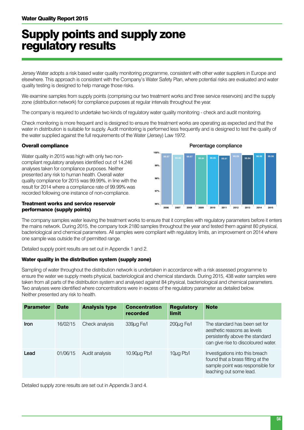# Supply points and supply zone regulatory results

Jersey Water adopts a risk based water quality monitoring programme, consistent with other water suppliers in Europe and elsewhere. This approach is consistent with the Company's Water Safety Plan, where potential risks are evaluated and water quality testing is designed to help manage those risks.

We examine samples from supply points (comprising our two treatment works and three service reservoirs) and the supply zone (distribution network) for compliance purposes at regular intervals throughout the year.

The company is required to undertake two kinds of regulatory water quality monitoring - check and audit monitoring.

Check monitoring is more frequent and is designed to ensure the treatment works are operating as expected and that the water in distribution is suitable for supply. Audit monitoring is performed less frequently and is designed to test the quality of the water supplied against the full requirements of the Water (Jersey) Law 1972.

#### Overall compliance

Water quality in 2015 was high with only two noncompliant regulatory analyses identified out of 14,246 analyses taken for compliance purposes. Neither presented any risk to human health. Overall water quality compliance for 2015 was 99.99%, in line with the result for 2014 where a compliance rate of 99.99% was recorded following one instance of non-compliance.

#### Treatment works and service reservoir performance (supply points)



The company samples water leaving the treatment works to ensure that it complies with regulatory parameters before it enters the mains network. During 2015, the company took 2180 samples throughout the year and tested them against 80 physical, bacteriological and chemical parameters. All samples were compliant with regulatory limits, an improvement on 2014 where one sample was outside the of permitted range.

Detailed supply point results are set out in Appendix 1 and 2.

#### Water quality in the distribution system (supply zone)

Sampling of water throughout the distribution network is undertaken in accordance with a risk assessed programme to ensure the water we supply meets physical, bacteriological and chemical standards. During 2015, 438 water samples were taken from all parts of the distribution system and analysed against 84 physical, bacteriological and chemical parameters. Two analyses were identified where concentrations were in excess of the regulatory parameter as detailed below. Neither presented any risk to health.

| <b>Parameter</b> | <b>Date</b> | <b>Analysis type</b> | <b>Concentration</b><br>recorded | <b>Regulatory</b><br><b>limit</b> | <b>Note</b>                                                                                                                            |
|------------------|-------------|----------------------|----------------------------------|-----------------------------------|----------------------------------------------------------------------------------------------------------------------------------------|
| <b>Iron</b>      | 16/02/15    | Check analysis       | $339\mu$ g Fe/I                  | $200\mu$ g Fe/I                   | The standard has been set for<br>aesthetic reasons as levels<br>persistently above the standard<br>can give rise to discoloured water. |
| Lead             | 01/06/15    | Audit analysis       | $10.90\mu$ g Pb/I                | $10\mu$ g Pb/I                    | Investigations into this breach<br>found that a brass fitting at the<br>sample point was responsible for<br>leaching out some lead.    |

Detailed supply zone results are set out in Appendix 3 and 4.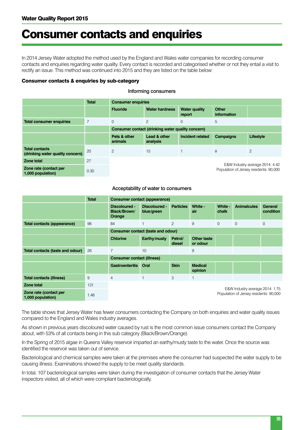### Consumer contacts and enquiries

In 2014 Jersey Water adopted the method used by the England and Wales water companies for recording consumer contacts and enquiries regarding water quality. Every contact is recorded and categorised whether or not they entail a visit to rectify an issue. This method was continued into 2015 and they are listed on the table below:

#### Consumer contacts & enquiries by sub-category

|                                                           | <b>Total</b> | <b>Consumer enquiries</b> |                                                   |                                |                             |                                                                           |
|-----------------------------------------------------------|--------------|---------------------------|---------------------------------------------------|--------------------------------|-----------------------------|---------------------------------------------------------------------------|
|                                                           |              | <b>Fluoride</b>           | <b>Water hardness</b>                             | <b>Water quality</b><br>report | <b>Other</b><br>information |                                                                           |
| <b>Total consumer enquiries</b>                           | 7            | $\overline{0}$            | 2                                                 | $\overline{0}$                 | 5                           |                                                                           |
|                                                           |              |                           | Consumer contact (drinking water quality concern) |                                |                             |                                                                           |
|                                                           |              | Pets & other<br>animals   | Lead & other<br>analysis                          | Incident related               | Campaigns                   | Lifestyle                                                                 |
| <b>Total contacts</b><br>(drinking water quality concern) | 20           | 2                         | 15                                                |                                | $\Omega$                    | 2                                                                         |
| Zone total                                                | 27           |                           |                                                   |                                |                             |                                                                           |
| Zone rate (contact per<br>1,000 population)               | 0.30         |                           |                                                   |                                |                             | E&W Industry average 2014: 4.42<br>Population of Jersey residents: 90,000 |

#### Informing consumers

#### Acceptability of water to consumers

|                                             | <b>Total</b> | <b>Consumer contact (appearance)</b>    |                             |                   |                                |                  |                                                                           |                      |
|---------------------------------------------|--------------|-----------------------------------------|-----------------------------|-------------------|--------------------------------|------------------|---------------------------------------------------------------------------|----------------------|
|                                             |              | Discoloured -<br>Black/Brown/<br>Orange | Discoloured -<br>blue/green | <b>Particles</b>  | White -<br>air                 | White -<br>chalk | <b>Animalcules</b>                                                        | General<br>condition |
| Total contacts (appearance)                 | 96           | 84                                      | $\mathbf{1}$                | $\overline{2}$    | 9                              | $\Omega$         | $\Omega$                                                                  | $\Omega$             |
|                                             |              | Consumer contact (taste and odour)      |                             |                   |                                |                  |                                                                           |                      |
|                                             |              | <b>Chlorine</b>                         | Earthy/musty                | Petrol/<br>diesel | <b>Other taste</b><br>or odour |                  |                                                                           |                      |
| Total contacts (taste and odour)            | 26           | $\overline{7}$                          | 10                          |                   | 9                              |                  |                                                                           |                      |
|                                             |              | <b>Consumer contact (illness)</b>       |                             |                   |                                |                  |                                                                           |                      |
|                                             |              | <b>Gastroenteritis</b>                  | Oral                        | <b>Skin</b>       | <b>Medical</b><br>opinion      |                  |                                                                           |                      |
| <b>Total contacts (illness)</b>             | 9            | $\overline{4}$                          | $\mathbf{1}$                | 3                 | 1                              |                  |                                                                           |                      |
| Zone total                                  | 131          |                                         |                             |                   |                                |                  |                                                                           |                      |
| Zone rate (contact per<br>1,000 population) | 1.46         |                                         |                             |                   |                                |                  | E&W Industry average 2014: 1.75<br>Population of Jersey residents: 90,000 |                      |

The table shows that Jersey Water has fewer consumers contacting the Company on both enquiries and water quality issues compared to the England and Wales industry averages.

As shown in previous years discoloured water caused by rust is the most common issue consumers contact the Company about, with 53% of all contacts being in this sub category (Black/Brown/Orange).

In the Spring of 2015 algae in Queens Valley reservoir imparted an earthy/musty taste to the water. Once the source was identified the reservoir was taken out of service.

Bacteriological and chemical samples were taken at the premises where the consumer had suspected the water supply to be causing illness. Examinations showed the supply to be meet quality standards.

In total, 107 bacteriological samples were taken during the investigation of consumer contacts that the Jersey Water inspectors visited, all of which were compliant bacteriologically.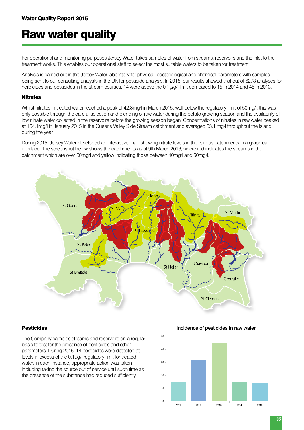# Raw water quality

For operational and monitoring purposes Jersey Water takes samples of water from streams, reservoirs and the inlet to the treatment works. This enables our operational staff to select the most suitable waters to be taken for treatment.

Analysis is carried out in the Jersey Water laboratory for physical, bacteriological and chemical parameters with samples being sent to our consulting analysts in the UK for pesticide analysis. In 2015, our results showed that out of 6278 analyses for herbicides and pesticides in the stream courses, 14 were above the 0.1  $\mu$ g/l limit compared to 15 in 2014 and 45 in 2013.

#### **Nitrates**

Whilst nitrates in treated water reached a peak of 42.8mg/l in March 2015, well below the regulatory limit of 50mg/l, this was only possible through the careful selection and blending of raw water during the potato growing season and the availability of low nitrate water collected in the reservoirs before the growing season began. Concentrations of nitrates in raw water peaked at 164.1mg/l in January 2015 in the Queens Valley Side Stream catchment and averaged 53.1 mg/l throughout the Island during the year.

During 2015, Jersey Water developed an interactive map showing nitrate levels in the various catchments in a graphical interface. The screenshot below shows the catchments as at 9th March 2016, where red indicates the streams in the catchment which are over 50mg/l and yellow indicating those between 40mg/l and 50mg/l.



#### Pesticides

The Company samples streams and reservoirs on a regular basis to test for the presence of pesticides and other parameters. During 2015, 14 pesticides were detected at levels in excess of the 0.1ug/l regulatory limit for treated water. In each instance, appropriate action was taken including taking the source out of service until such time as the presence of the substance had reduced sufficiently.

Incidence of pesticides in raw water

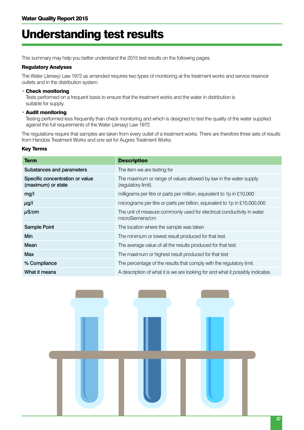# Understanding test results

This summary may help you better understand the 2015 test results on the following pages.

#### Regulatory Analyses

The Water (Jersey) Law 1972 as amended requires two types of monitoring at the treatment works and service reservoir outlets and in the distribution system.

#### • Check monitoring

Tests performed on a frequent basis to ensure that the treatment works and the water in distribution is suitable for supply.

#### • Audit monitoring

Testing performed less frequently than check monitoring and which is designed to test the quality of the water supplied against the full requirements of the Water (Jersey) Law 1972.

The regulations require that samples are taken from every outlet of a treatment works. There are therefore three sets of results from Handois Treatment Works and one set for Augres Treatment Works.

#### Key Terms

| <b>Term</b>                                           | <b>Description</b>                                                                         |
|-------------------------------------------------------|--------------------------------------------------------------------------------------------|
| Substances and parameters                             | The item we are testing for                                                                |
| Specific concentration or value<br>(maximum) or state | The maximum or range of values allowed by law in the water supply<br>(regulatory limit).   |
| mg/l                                                  | milligrams per litre or parts per million, equivalent to 1p in £10,000                     |
| $\mu$ g/l                                             | micrograms per litre or parts per billion, equivalent to 1p in £10,000,000                 |
| $\mu$ S/cm                                            | The unit of measure commonly used for electrical conductivity in water,<br>microSiemens/cm |
| <b>Sample Point</b>                                   | The location where the sample was taken                                                    |
| Min                                                   | The minimum or lowest result produced for that test.                                       |
| Mean                                                  | The average value of all the results produced for that test.                               |
| <b>Max</b>                                            | The maximum or highest result produced for that test                                       |
| % Compliance                                          | The percentage of the results that comply with the regulatory limit.                       |
| What it means                                         | A description of what it is we are looking for and what it possibly indicates.             |

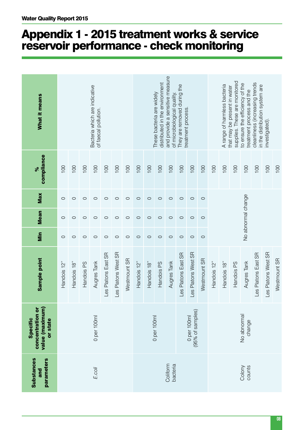# Appendix 1 - 2015 treatment works & service reservoir performance - check monitoring

| <b>Substances</b><br>parameters<br>and | value (maximum)<br>concentration or<br>Specific<br>or state | Sample point        | Min     | <b>Mean</b>        | Max     | compliance<br>४  | What it means                                                    |
|----------------------------------------|-------------------------------------------------------------|---------------------|---------|--------------------|---------|------------------|------------------------------------------------------------------|
|                                        |                                                             | Handois 12"         | $\circ$ | $\circ$            | $\circ$ | 100              |                                                                  |
|                                        |                                                             | Handois 18"         | $\circ$ | $\circ$            | $\circ$ | 100              |                                                                  |
|                                        |                                                             | Handois PS          | $\circ$ | $\circ$            | $\circ$ | 100              |                                                                  |
| E.coli                                 | 0 per 100ml                                                 | Augres Tank         | $\circ$ | $\circ$            | $\circ$ | 100              | Bacteria which are indicative<br>of faecal pollution.            |
|                                        |                                                             | Les Platons East SR | $\circ$ | $\circ$            | $\circ$ | 100              |                                                                  |
|                                        |                                                             | Les Platons West SR | $\circ$ | $\circ$            | $\circ$ | 100              |                                                                  |
|                                        |                                                             | Westmount SR        | $\circ$ | $\circ$            | $\circ$ | 100              |                                                                  |
|                                        |                                                             | Handois 12"         | $\circ$ | $\circ$            | $\circ$ | 100              |                                                                  |
|                                        |                                                             | Handois 18"         | $\circ$ | $\circ$            | $\circ$ | 100              |                                                                  |
|                                        | 0 per 100ml                                                 | Handois PS          | $\circ$ | $\circ$            | $\circ$ | 100              | distributed in the environment<br>These bacteria are widely      |
| Coliform<br>bacteria                   |                                                             | Augres Tank         | $\circ$ | $\circ$            | $\circ$ | 100              | and provide a sensitive measure<br>of microbiological quality.   |
|                                        |                                                             | Les Platons East SR | $\circ$ | $\circ$            | $\circ$ | 100              | They are removed during the                                      |
|                                        | (95% of samples)<br>0 per 100ml                             | Les Platons West SR | $\circ$ | $\circ$            | $\circ$ | 100              | treatment process                                                |
|                                        |                                                             | Westmount SR        | $\circ$ | $\circ$            | $\circ$ | 100              |                                                                  |
|                                        |                                                             | Handois 12"         |         |                    |         | 100              |                                                                  |
|                                        |                                                             | Handois 18"         |         |                    |         | 100              | A range of harmless bacteria                                     |
|                                        |                                                             | Handois PS          |         |                    |         | 100              | supplies. These are monitored<br>that may be present in water    |
| Colony<br>counts                       | No abnormal<br>change                                       | Augres<br>Tank      |         | No abnormal change |         | 100              | to ensure the efficiency of the<br>treatment process and the     |
|                                        |                                                             | Les Platons East SR |         |                    |         | 100              | cleanliness (increasing trends<br>in the distribution system are |
|                                        |                                                             | Les Platons West SR |         |                    |         | 100              | investigated).                                                   |
|                                        |                                                             | Westmount SR        |         |                    |         | $\overline{100}$ |                                                                  |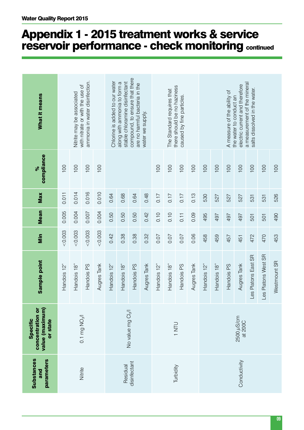| What it means<br>compliance<br>ৡ                                   | 100         | Nitrite may be associated<br>100 | ammonia in water disinfection.<br>with nitrate or with the use of<br>100 | 100         | Chlorine is added to our water | stable chloramine disinfectant<br>along with ammonia to form a | compound, to ensure that there<br>are no harmful bacteria in the | water we supply. | 100         | The Standard requires that<br>100 | there should be no haziness<br>caused by fine particles.<br>100 | 100         | 100          | 100         | A measure of the ability of<br>100 | electric current and therefore<br>the water to conduct an<br>100 | a measurement of the mineral<br>salts dissolved in the water.<br>100 | 100                 |  |  |
|--------------------------------------------------------------------|-------------|----------------------------------|--------------------------------------------------------------------------|-------------|--------------------------------|----------------------------------------------------------------|------------------------------------------------------------------|------------------|-------------|-----------------------------------|-----------------------------------------------------------------|-------------|--------------|-------------|------------------------------------|------------------------------------------------------------------|----------------------------------------------------------------------|---------------------|--|--|
| Max                                                                | 0.011       | 0.014                            | 0.016                                                                    | 0.010       | 0.64                           | 0.68                                                           | 0.64                                                             | 0.48             | 0.17        | 0.17                              | 0.17                                                            | 0.13        | 530          | 527         | 527                                | 527                                                              | 531                                                                  | 531                 |  |  |
| <b>Mean</b>                                                        | 0.005       | 0.004                            | 0.007                                                                    | 0.004       | 0.50<br>0.50<br>0.50<br>0.42   |                                                                |                                                                  |                  | 0.10        | 0.10                              | 0.11                                                            | 0.09        | 495          | 497         | 497                                | 497                                                              | 501                                                                  | 501                 |  |  |
| Min                                                                | 0.003       | &0.003                           | &0.003                                                                   | &0.003      | 0.42<br>0.38<br>0.32<br>0.38   |                                                                |                                                                  |                  | 0.07        | 0.07                              | 0.07                                                            | 0.06        | 458          | 459         | 457                                | 451                                                              | 472                                                                  | 470                 |  |  |
| Sample point                                                       | Handois 12" | Handois 18"                      | Handois PS                                                               | Augres Tank | Handois 12"                    | Handois 18"                                                    | Handois PS                                                       | Augres Tank      | Handois 12' | Handois 18"                       | Handois PS                                                      | Augres Tank | Handois 12"  | Handois 18" | Handois PS                         | Augres Tank                                                      | Les Platons East SR                                                  | Les Platons West SR |  |  |
| value (maximum)<br>concentration or<br><b>Specific</b><br>or state |             |                                  | 0.1 mg NO <sub>2</sub> /I                                                |             |                                |                                                                | No value mg Cl <sub>2</sub> /l                                   |                  |             |                                   | <b>ULN1</b>                                                     |             |              |             |                                    | 2500 µS/cm<br>at 200C                                            |                                                                      |                     |  |  |
| <b>Substances</b><br>parameters<br>and                             |             |                                  | Nitrite                                                                  |             |                                | Residual                                                       | disinfectant                                                     |                  |             |                                   | Turbidity                                                       |             | Conductivity |             |                                    |                                                                  |                                                                      |                     |  |  |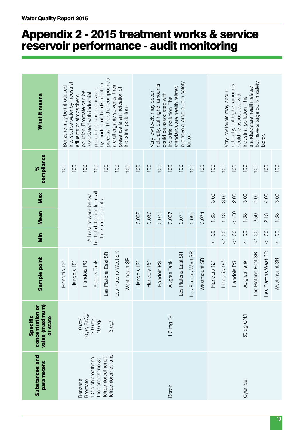| What it means                                                      | Benzene may be introduced | into source water by industrial<br>effluents or atmospheric                 | pollution. Bromate can be<br>associated with industrial | pollution or can occur as a              | process. The other compounds<br>by-product of the disinfection | are all organic solvents, their<br>presence is an indication of | industrial pollution. |             | Very low levels may occur | naturally, but higher amounts<br>could be associated with | industrial pollution. The | but have a large built-in safety<br>standards are health related | factor.             |              |             | Very low levels may occur | naturally, but higher amounts<br>could be associated with | industrial pollution. The | but have a large built-in safety<br>standards are health related | factor.             |              |
|--------------------------------------------------------------------|---------------------------|-----------------------------------------------------------------------------|---------------------------------------------------------|------------------------------------------|----------------------------------------------------------------|-----------------------------------------------------------------|-----------------------|-------------|---------------------------|-----------------------------------------------------------|---------------------------|------------------------------------------------------------------|---------------------|--------------|-------------|---------------------------|-----------------------------------------------------------|---------------------------|------------------------------------------------------------------|---------------------|--------------|
| compliance<br>$\frac{5}{6}$                                        | 100                       | 100                                                                         | 100                                                     | 100                                      | 100                                                            | 100                                                             | 100                   | 100         | 100                       | 100                                                       | 100                       | 100                                                              | 100                 | 100          | 100         | 100                       | 100                                                       | 100                       | 100                                                              | 100                 | 100          |
| Max                                                                |                           |                                                                             |                                                         |                                          |                                                                |                                                                 |                       |             |                           |                                                           |                           |                                                                  |                     |              | 3.00        | 3.00                      | 2.00                                                      | 3.00                      | 4.00                                                             | 4.00                | 3.00         |
| <b>Mean</b>                                                        |                           | limit of detection from all<br>All results were below<br>the sample points. |                                                         |                                          |                                                                |                                                                 |                       | 0.032       | 0.069                     | 0.070                                                     | 0.037                     | 0.071                                                            | 0.066               | 0.074        | 1.63        | 1.13                      | 1.00                                                      | 1.38                      | 2.50                                                             | 2.13                | 1.38         |
| Min                                                                |                           |                                                                             |                                                         |                                          |                                                                |                                                                 |                       |             |                           |                                                           |                           |                                                                  |                     |              | 1.00        | 1.00                      | < 1.00                                                    | $00^{1.00}$               | $00^{15}$                                                        | $<1.00$             | 1.00         |
| Sample point                                                       | Handois 12"               | Handois 18"                                                                 | Handois PS                                              | Augres Tank                              | Les Platons East SR                                            | Les Platons West SR                                             | Westmount SR          | Handois 12" | Handois 18"               | Handois PS                                                | Augres<br>Tank            | Les Platons East SR                                              | Les Platons West SR | Westmount SR | Handois 12" | Handois 18"               | Handois PS                                                | Augres<br>Tank            | Les Platons East SR                                              | Les Platons West SR | Westmount SR |
| value (maximum)<br>concentration or<br><b>Specific</b><br>or state |                           |                                                                             | 1.0 שטען<br>10 שט 10 שטן<br>10 שטען<br>10 שטען          |                                          |                                                                | l/bn s                                                          |                       |             |                           |                                                           | 1.0 mg B/I                |                                                                  |                     |              |             |                           |                                                           | 50 µg CN/I                |                                                                  |                     |              |
| <b>Substances and</b><br>parameters                                |                           |                                                                             | Benzene<br><b>Bromate</b>                               | 1,2 dichloroethane<br>Trichloroethene &} | Tetrachloromethane<br>Tetrachloroethene                        |                                                                 |                       |             |                           |                                                           | Boron                     |                                                                  |                     |              | Cyanide     |                           |                                                           |                           |                                                                  |                     |              |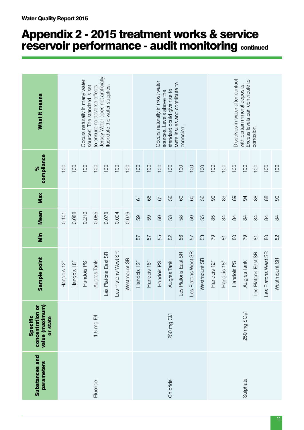| <b>Substances and</b><br>parameters | value (maximum)<br>concentration or<br>Specific<br>or state | Sample point        | Min                 | <b>Mean</b>    | Max            | compliance<br>$\infty$ | What it means                                                        |
|-------------------------------------|-------------------------------------------------------------|---------------------|---------------------|----------------|----------------|------------------------|----------------------------------------------------------------------|
|                                     |                                                             | Handois 12"         |                     | 0.101          |                | 100                    |                                                                      |
|                                     |                                                             | Handois 18"         |                     | 0.088          |                | 100                    |                                                                      |
|                                     |                                                             | Handois PS          |                     | 0.210          |                | 100                    | Occurs naturally in many water<br>sources. The standard is set       |
| Fluoride                            | 1.5 mg $F/I$                                                | Augres<br>Tank      |                     | 0.085          |                | 100                    | to ensure no adverse effects.                                        |
|                                     |                                                             | Les Platons East SR |                     | 0.078          |                | 100                    | Jersey Water does not artificially<br>fluoridate the water supplies. |
|                                     |                                                             | Les Platons West SR |                     | 0.094          |                | 100                    |                                                                      |
|                                     |                                                             | Westmount SR        |                     | 0.079          |                | 100                    |                                                                      |
|                                     |                                                             | Handois 12"         | 57                  | 59             | $\overline{6}$ | 100                    |                                                                      |
|                                     |                                                             | Handois 18"         | 57                  | 59             | 89             | 100                    |                                                                      |
|                                     |                                                             | Handois PS          | 55                  | 59             | $\overline{6}$ | 100                    | Occurs naturally in most water<br>sources. Levels above the          |
| Chloride                            | 250 mg CI/I                                                 | Augres<br>Tank      | 52                  | 53             | 56             | 100                    | standard could give rise to                                          |
|                                     |                                                             | Les Platons East SR | 56                  | 58             | 60             | 100                    | taste issues and contribute to<br>corrosion.                         |
|                                     |                                                             | Les Platons West SR | 57                  | 59             | 60             | 100                    |                                                                      |
|                                     |                                                             | Westmount SR        | 53                  | 55             | 56             | 100                    |                                                                      |
|                                     |                                                             | Handois 12"         | 54                  | 85             | 90             | 100                    |                                                                      |
|                                     |                                                             | Handois 18"         | $\overline{\infty}$ | $\overline{8}$ | 89             | 100                    |                                                                      |
|                                     |                                                             | Handois PS          | $\infty$            | $\overline{8}$ | 89             | 100                    | Dissolves in water after contact                                     |
| Sulphate                            | 250 mg SO <sub>4</sub> /I                                   | Augres<br>Tank      | 54                  | $\overline{8}$ | $\overline{6}$ | 100                    | Excess levels can contribute to<br>with certain mineral deposits.    |
|                                     |                                                             | Les Platons East SR | $\overline{\infty}$ | $\overline{8}$ | 88             | 100                    | corrosion.                                                           |
|                                     |                                                             | Les Platons West SR | $\infty$            | 84             | 88             | 100                    |                                                                      |
|                                     |                                                             | Westmount SR        | $\approx$           | $\overline{8}$ | $\infty$       | 100                    |                                                                      |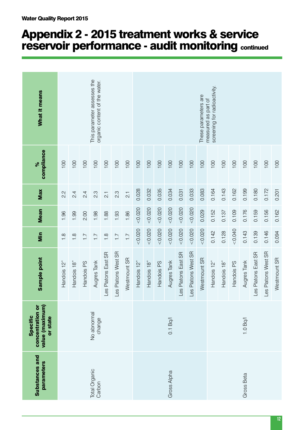| What it means                                               |                                                                                                                               |                  |               | This parameter assesses the<br>organic content of the water. |                     |                     |                |             |             |            |                |                     |                     | These parameters are | screening for radioactivity.<br>measured as part of |             |            |             |                     |                     |              |
|-------------------------------------------------------------|-------------------------------------------------------------------------------------------------------------------------------|------------------|---------------|--------------------------------------------------------------|---------------------|---------------------|----------------|-------------|-------------|------------|----------------|---------------------|---------------------|----------------------|-----------------------------------------------------|-------------|------------|-------------|---------------------|---------------------|--------------|
| compliance<br>$\frac{1}{\sqrt{6}}$                          | 100                                                                                                                           | 100              | 100           | 100                                                          | 100                 | 100                 | 100            | 100         | 100         | 100        | 100            | 100                 | 100                 | 100                  | 100                                                 | 100         | 100        | 100         | 100                 | 100                 | 100          |
| Max                                                         | 2.2                                                                                                                           | $\overline{2.4}$ | $\frac{4}{2}$ | 2.3                                                          | $\overline{2}$      | 2.3                 | $\overline{c}$ | 0.028       | 0.032       | 0.035      | 0.034          | 0.031               | 0.033               | 0.083                | 0.164                                               | 0.143       | 0.162      | 0.199       | 0.180               | 0.172               | 0.201        |
| <b>Mean</b>                                                 | 1.86<br>1.96<br>2.00<br>1.88<br>1.93<br>1.99<br>1.98                                                                          |                  |               |                                                              |                     |                     | 0.020          | 0.020       | 0.020       | < 0.020    | < 0.020        | < 0.020             | 0.029               | 0.152                | 0.137                                               | 0.109       | 0.176      | 0.159       | 0.156               | 0.162               |              |
| Min                                                         | $\frac{8}{1}$<br>$\overline{.}$<br>$\frac{8}{1}$<br>$\overline{1}$ .<br>$\frac{8}{1}$<br>$\overline{1}$ :<br>$\overline{1}$ . |                  |               |                                                              |                     | 0.020               | < 0.020        | < 0.020     | < 0.020     | 0.020      | < 0.020        | < 0.020             | 0.142               | 0.128                | 0.040                                               | 0.143       | 0.139      | 0.146       | 0.094               |                     |              |
| Sample point                                                | Handois 12"                                                                                                                   | Handois 18"      | Handois PS    | Augres Tank                                                  | Les Platons East SR | Les Platons West SR | Westmount SR   | Handois 12" | Handois 18" | Handois PS | Augres<br>Tank | Les Platons East SR | Les Platons West SR | Westmount SR         | Handois 12"                                         | Handois 18" | Handois PS | Augres Tank | Les Platons East SR | Les Platons West SR | Westmount SR |
| value (maximum)<br>concentration or<br>Specific<br>or state |                                                                                                                               |                  |               | No abnormal<br>change                                        |                     |                     |                |             |             |            | 0.1 Bq/        |                     |                     |                      |                                                     |             |            | 1.0 Bq/     |                     |                     |              |
| <b>Substances and</b><br>parameters                         |                                                                                                                               |                  |               | Total Organic<br>Carbon                                      |                     |                     |                |             |             |            | Gross Alpha    |                     |                     |                      | Gross Beta                                          |             |            |             |                     |                     |              |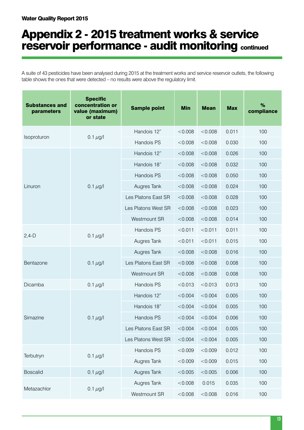A suite of 43 pesticides have been analysed during 2015 at the treatment works and service reservoir outlets, the following table shows the ones that were detected – no results were above the regulatory limit.

| <b>Substances and</b><br>parameters | <b>Specific</b><br>concentration or<br>value (maximum)<br>or state | <b>Sample point</b> | <b>Min</b> | <b>Mean</b> | <b>Max</b> | %<br>compliance |
|-------------------------------------|--------------------------------------------------------------------|---------------------|------------|-------------|------------|-----------------|
|                                     |                                                                    | Handois 12"         | < 0.008    | < 0.008     | 0.011      | 100             |
| Isoproturon                         | 0.1 $\mu$ g/l                                                      | Handois PS          | < 0.008    | < 0.008     | 0.030      | 100             |
|                                     |                                                                    | Handois 12"         | < 0.008    | < 0.008     | 0.026      | 100             |
|                                     |                                                                    | Handois 18"         | < 0.008    | < 0.008     | 0.032      | 100             |
|                                     |                                                                    | Handois PS          | < 0.008    | < 0.008     | 0.050      | 100             |
| Linuron                             | 0.1 $\mu$ g/l                                                      | Augres Tank         | < 0.008    | < 0.008     | 0.024      | 100             |
|                                     |                                                                    | Les Platons East SR | < 0.008    | < 0.008     | 0.028      | 100             |
|                                     |                                                                    | Les Platons West SR | < 0.008    | < 0.008     | 0.023      | 100             |
|                                     |                                                                    | Westmount SR        | < 0.008    | < 0.008     | 0.014      | 100             |
|                                     |                                                                    | Handois PS          | < 0.011    | < 0.011     | 0.011      | 100             |
| $2,4-D$                             | 0.1 $\mu$ g/l                                                      | Augres Tank         | < 0.011    | < 0.011     | 0.015      | 100             |
|                                     |                                                                    | Augres Tank         | < 0.008    | < 0.008     | 0.016      | 100             |
| Bentazone                           | 0.1 $\mu$ g/l                                                      | Les Platons East SR | < 0.008    | < 0.008     | 0.008      | 100             |
|                                     |                                                                    | Westmount SR        | < 0.008    | < 0.008     | 0.008      | 100             |
| Dicamba                             | 0.1 $\mu$ g/l                                                      | Handois PS          | < 0.013    | < 0.013     | 0.013      | 100             |
|                                     |                                                                    | Handois 12"         | < 0.004    | < 0.004     | 0.005      | 100             |
|                                     |                                                                    | Handois 18"         | < 0.004    | < 0.004     | 0.005      | 100             |
| Simazine                            | $0.1 \mu g/l$                                                      | Handois PS          | < 0.004    | < 0.004     | 0.006      | 100             |
|                                     |                                                                    | Les Platons East SR | < 0.004    | < 0.004     | 0.005      | 100             |
|                                     |                                                                    | Les Platons West SR | < 0.004    | < 0.004     | 0.005      | 100             |
|                                     |                                                                    | Handois PS          | < 0.009    | < 0.009     | 0.012      | 100             |
| Terbutryn                           | $0.1 \mu g/l$                                                      | Augres Tank         | < 0.009    | < 0.009     | 0.015      | 100             |
| <b>Boscalid</b>                     | $0.1 \mu g/l$                                                      | Augres Tank         | < 0.005    | < 0.005     | 0.006      | 100             |
|                                     |                                                                    | Augres Tank         | < 0.008    | 0.015       | 0.035      | 100             |
| Metazachlor                         | $0.1 \mu g/l$                                                      | Westmount SR        | < 0.008    | < 0.008     | 0.016      | 100             |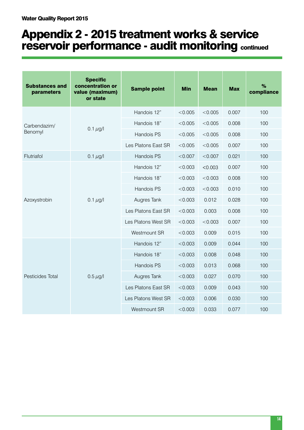| <b>Substances and</b><br>parameters | <b>Specific</b><br>concentration or<br>value (maximum)<br>or state | <b>Sample point</b> | <b>Min</b> | <b>Mean</b> | <b>Max</b> | %<br>compliance |
|-------------------------------------|--------------------------------------------------------------------|---------------------|------------|-------------|------------|-----------------|
|                                     |                                                                    | Handois 12"         | < 0.005    | < 0.005     | 0.007      | 100             |
| Carbendazim/                        | $0.1 \,\mu g/l$                                                    | Handois 18"         | < 0.005    | < 0.005     | 0.008      | 100             |
| Benomyl                             |                                                                    | Handois PS          | < 0.005    | < 0.005     | 0.008      | 100             |
|                                     |                                                                    | Les Platons East SR | < 0.005    | < 0.005     | 0.007      | 100             |
| Flutriafol                          | $0.1 \mu g/l$                                                      | Handois PS          | < 0.007    | < 0.007     | 0.021      | 100             |
|                                     |                                                                    | Handois 12"         | < 0.003    | < 0.003     | 0.007      | 100             |
| Azoxystrobin                        |                                                                    | Handois 18"         | < 0.003    | < 0.003     | 0.008      | 100             |
|                                     |                                                                    | Handois PS          | < 0.003    | < 0.003     | 0.010      | 100             |
|                                     | $0.1 \mu g/l$                                                      | Augres Tank         | < 0.003    | 0.012       | 0.028      | 100             |
|                                     |                                                                    | Les Platons East SR | < 0.003    | 0.003       | 0.008      | 100             |
|                                     |                                                                    | Les Platons West SR | < 0.003    | < 0.003     | 0.007      | 100             |
|                                     |                                                                    | Westmount SR        | < 0.003    | 0.009       | 0.015      | 100             |
|                                     |                                                                    | Handois 12"         | < 0.003    | 0.009       | 0.044      | 100             |
|                                     |                                                                    | Handois 18"         | < 0.003    | 0.008       | 0.048      | 100             |
|                                     |                                                                    | Handois PS          | < 0.003    | 0.013       | 0.068      | 100             |
| Pesticides Total                    | $0.5 \mu g/l$                                                      | Augres Tank         | < 0.003    | 0.027       | 0.070      | 100             |
|                                     |                                                                    | Les Platons East SR | < 0.003    | 0.009       | 0.043      | 100             |
|                                     |                                                                    | Les Platons West SR | < 0.003    | 0.006       | 0.030      | 100             |
|                                     |                                                                    | Westmount SR        | < 0.003    | 0.033       | 0.077      | 100             |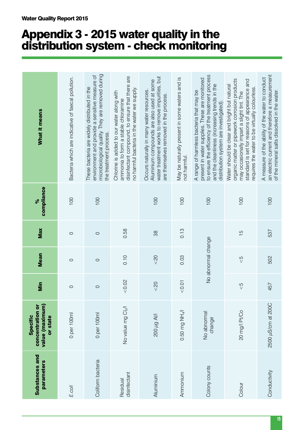# Appendix 3 - 2015 water quality in the distribution system - check monitoring

| <b>Substances and</b><br>parameters | value (maximum)<br>concentration or<br><b>Specific</b><br>or state | Min           | <b>Mean</b>        | Max           | compliance<br>ೢೕ | What it means                                                                                                                                                                                                                                  |
|-------------------------------------|--------------------------------------------------------------------|---------------|--------------------|---------------|------------------|------------------------------------------------------------------------------------------------------------------------------------------------------------------------------------------------------------------------------------------------|
| E.coli                              | 0 per 100ml                                                        | $\circ$       | $\circ$            | $\circ$       | 100              | Bacteria which are indicative of faecal pollution.                                                                                                                                                                                             |
| Coliform bacteria                   | 0 per 100ml                                                        | $\circ$       | $\circ$            | $\circ$       | 100              | microbiological quality. They are removed during<br>environment and provide a sensitive measure of<br>These bacteria are widely distributed in the<br>the treatment process.                                                                   |
| disinfectant<br>Residual            | No value mg Cl <sub>2</sub> /l                                     | 0.02          | 0.10               | 0.58          |                  | disinfectant compound, to ensure that there are<br>no harmful bacteria in the water we supply.<br>Chlorine is added to our water along with<br>ammonia to form a stable chloramine                                                             |
| Aluminium                           | <b>NN 61002</b>                                                    | $rac{50}{50}$ | $\frac{5}{2}$      | 38            | 100              | water treatment works to remove impurities, but<br>Aluminium compounds are also used at some<br>Occurs naturally in many water resources.<br>are themselves removed in the process.                                                            |
| Ammonium                            | 0.50 mg NH4/I                                                      | 0.07          | 0.03               | 0.13          | 100              | May be naturally present in some waters and is<br>not harmful.                                                                                                                                                                                 |
| Colony counts                       | No abnormal<br>change                                              |               | No abnormal change |               | 100              | to ensure the efficiency of the treatment process<br>present in water supplies. These are monitored<br>and the cleanliness (increasing trends in the<br>A range of harmless bacteria that may be<br>distribution system are investigated)      |
| Colour                              | 20 mg/l Pt/Co                                                      | $\frac{5}{2}$ | $\frac{5}{2}$      | $\frac{5}{1}$ | 100              | organic matter or pipework corrosion products<br>standard is set for reasons of appearance and<br>Water should be clear and bright but natural<br>requires the water to be virtually colourless.<br>may occasionally impart a slight tint. The |
| Conductivity                        | 2500 µS/cm at 200C                                                 | 457           | 502                | 537           | 100              | an electric current and therefore a measurement<br>A measure of the ability of the water to conduct<br>of the mineral salts dissolved in the water.                                                                                            |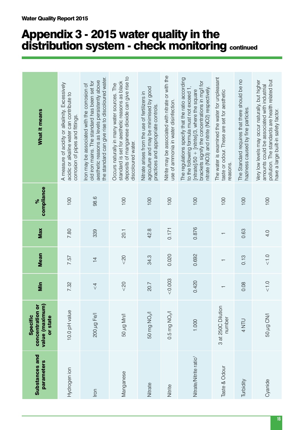# Appendix 3 - 2015 water quality in the distribution system - check monitoring continued

| <b>Substances and</b><br>parameters | value (maximum)<br>concentration or<br>Specific<br>or state | Min                  | <b>Mean</b>              | Max           | compliance<br>ৡ | What it means                                                                                                                                                                                                                                                                 |
|-------------------------------------|-------------------------------------------------------------|----------------------|--------------------------|---------------|-----------------|-------------------------------------------------------------------------------------------------------------------------------------------------------------------------------------------------------------------------------------------------------------------------------|
| Hydrogen ion                        | 10.0 pH value                                               | 7.32                 | 7.57                     | 7.80          | 100             | A measure of acidity or alkalinity. Excessively<br>acidic or alkaline water can contribute to<br>corrosion of pipes and fittings                                                                                                                                              |
| Iron                                | 200 µg Fe/I                                                 | $\frac{4}{5}$        | $\overline{4}$           | 339           | 98.6            | the standard can give rise to discoloured water.<br>aesthetic reasons as levels persistently above<br>old iron mains. The standard has been set for<br>fron may be associated with the corrosion of                                                                           |
| Manganese                           | NNN pu Da                                                   | &02                  | &02                      | <b>20.1</b>   | 100             | deposits of manganese dioxide can give rise to<br>standard is set for aesthetic reasons as black<br>Occurs naturally in many water sources. The<br>discoloured water.                                                                                                         |
| Nitrate                             | 50 mg NO <sub>3</sub> /l                                    | 20.7                 | 34.3                     | 42.8          | 100             | agriculture and may be minimised by good<br>Nitrate arises from the use of fertilizers in<br>practices and appropriate controls                                                                                                                                               |
| Nitrite                             | $0.5$ mg NO <sub>2</sub> /l                                 | &0.003               | 0.020                    | 0.171         | 100             | Nitrite may be associated with nitrate or with the<br>use of ammonia in water disinfection.                                                                                                                                                                                   |
| Nitrate/Nitrite ratio <sup>1</sup>  | 1.000                                                       | 0.420                | 0.692                    | 0.876         | 100             | The regulations specify that the ratio according<br>brackets signify the concentrations in mg/l for<br>nitrate (NO3) and nitrite (NO2) respectively.<br>to the following formula must not exceed 1<br>$\frac{1}{2}$ intrate]/50 + $\frac{1}{2}$ [nitrite]/3, where the square |
| Taste & Odour                       | 3 at 250C Dilution<br>number                                | $\overline{ }$       | $\overline{\phantom{0}}$ | $\top$        | 100             | The water is examined the water for unpleasant<br>taste or odour. These are set for aesthetic<br>reasons.                                                                                                                                                                     |
| Turbidity                           | 4 NTU                                                       | 0.08                 | 0.13                     | 0.63          | 100             | The Standard requires that there should be no<br>haziness caused by fine particles.                                                                                                                                                                                           |
| Cyanide                             | 50 µg CN/I                                                  | $\frac{0}{\sqrt{2}}$ | < 1.0                    | $\frac{0}{4}$ | 100             | pollution. The standards are health related but<br>Very low levels may occur naturally, but higher<br>amounts could be associated with industrial<br>have a large built-in safety factor.                                                                                     |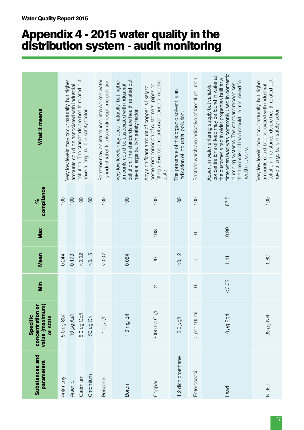# Appendix 4 - 2015 water quality in the distribution system - audit monitoring

| What it means                                               |             | Very low levels may occur naturally, but higher<br>amounts could be associated with industrial | pollution. The standards are health related but | have a large built-in safety factor. | by industrial effluents or atmospheric pollution.<br>Benzene may be introduced into source water | pollution. The standards are health related but<br>Very low levels may occur naturally, but higher<br>amounts could be associated with industrial<br>have a large built-in safety factor. | fittings. Excess amounts can cause a metallic<br>come from corrosion of customers' pipes or<br>Any significant amount of copper is likely to<br>taste. | The presence of this organic solvent is an<br>indication of industrial pollution. | Bacteria which are indicative of faecal pollution. | time when lead was commonly used in domestic<br>concentrations of lead may be found in water at<br>the customer's tap in older properties built at a<br>that the intake of lead should be minimised for<br>plumbing systems. The standard recognises<br>Absent in water entering supply but variable<br>health reasons | pollution. The standards are health related but<br>Very low levels may occur naturally, but higher<br>amounts could be associated with industrial<br>have a large built-in safety factor. |
|-------------------------------------------------------------|-------------|------------------------------------------------------------------------------------------------|-------------------------------------------------|--------------------------------------|--------------------------------------------------------------------------------------------------|-------------------------------------------------------------------------------------------------------------------------------------------------------------------------------------------|--------------------------------------------------------------------------------------------------------------------------------------------------------|-----------------------------------------------------------------------------------|----------------------------------------------------|------------------------------------------------------------------------------------------------------------------------------------------------------------------------------------------------------------------------------------------------------------------------------------------------------------------------|-------------------------------------------------------------------------------------------------------------------------------------------------------------------------------------------|
| compliance<br>ৡ                                             | 100         | 100                                                                                            | 100                                             | 100                                  | 100                                                                                              | 100                                                                                                                                                                                       | 100                                                                                                                                                    | 100                                                                               | 100                                                | 87.5                                                                                                                                                                                                                                                                                                                   | 100                                                                                                                                                                                       |
| Max                                                         |             |                                                                                                |                                                 |                                      |                                                                                                  |                                                                                                                                                                                           | 108                                                                                                                                                    |                                                                                   | $\circ$                                            | 10.90                                                                                                                                                                                                                                                                                                                  |                                                                                                                                                                                           |
| <b>Mean</b>                                                 | 0.244       | 0.173                                                                                          | 0.02                                            | 0.15                                 | 0.07                                                                                             | 0.064                                                                                                                                                                                     | $\overline{c}$                                                                                                                                         | < 0.12                                                                            | $\circ$                                            | 1.41                                                                                                                                                                                                                                                                                                                   | 1.62                                                                                                                                                                                      |
| <b>Min</b>                                                  |             |                                                                                                |                                                 |                                      |                                                                                                  |                                                                                                                                                                                           | $\mathbf{\Omega}$                                                                                                                                      |                                                                                   | $\circ$                                            | &0.03                                                                                                                                                                                                                                                                                                                  |                                                                                                                                                                                           |
| value (maximum)<br>concentration or<br>Specific<br>or state | 5.0 µg Sb/I | 10 µg As/I                                                                                     | 5.0 µg Cd/l                                     | 50 µg Cr/l                           | $1.0 \mu g/l$                                                                                    | 1.0 mg B/I                                                                                                                                                                                | ND 67 0002                                                                                                                                             | $3.0 \mu$ g/l                                                                     | 0 per 100ml                                        | 10 µg Pb/l                                                                                                                                                                                                                                                                                                             | Nill pu 02                                                                                                                                                                                |
| <b>Substances and</b><br>parameters                         | Antimony    | Arsenic                                                                                        | Cadmium                                         | Chromium                             | Benzene                                                                                          | Boron                                                                                                                                                                                     | Copper                                                                                                                                                 | 1,2 dichloroethane                                                                | Enterococci                                        | Lead                                                                                                                                                                                                                                                                                                                   | Nickel                                                                                                                                                                                    |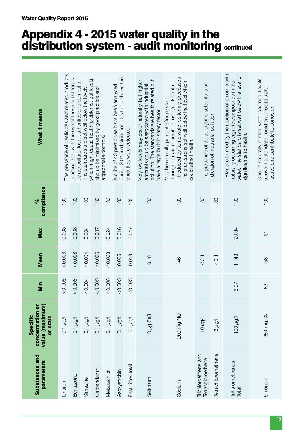# Appendix 4 - 2015 water quality in the distribution system - audit monitoring continued

| value (maximum)<br>concentration or<br>Specific<br>or state<br>$0.1 \mu g/l$<br>$0.1 \mu g/l$ | &0.008<br>&0.008<br>Min | &0.008<br>&0.008<br><b>Mean</b> | 0.008<br>0.008<br>Max | compliance<br>100<br>100<br>$\delta$ | The presence of pesticides and related products<br>is associated with the use of these substances<br>by agriculture, local authorities and domestic.<br>What it means                                                |
|-----------------------------------------------------------------------------------------------|-------------------------|---------------------------------|-----------------------|--------------------------------------|----------------------------------------------------------------------------------------------------------------------------------------------------------------------------------------------------------------------|
| $0.1 \mu g/l$                                                                                 | < 0.005<br>0.004        | 0.004<br>< 0.005                | 0.004<br>0.007        | 100<br>100                           | which might cause health problems, but levels<br>The standards are set well below the levels                                                                                                                         |
| $0.1 \mu g/l$<br>$0.1 \mu g/l$                                                                | &0.008                  | &0.008                          | 0.024                 | 100                                  | should be minimised by good practice and<br>appropriate controls.                                                                                                                                                    |
| $0.1 \mu$ g/l                                                                                 | &0.003                  | 0.005                           | 0.016                 | 100                                  | during 2015 in distribution, this table shows the<br>A suite of 43 pesticides have been analysed                                                                                                                     |
| $0.5 \mu$ g/l                                                                                 | &0.003                  | 0.019                           | 0.047                 | 100                                  | ones that were detected                                                                                                                                                                                              |
| 10 µg Se/I                                                                                    |                         | 0.18                            |                       | 100                                  | pollution. The standards are health related but<br>Very low levels may occur naturally, but higher<br>amounts could be associated with industrial<br>have a large built-in safety factor.                            |
| 200 mg Na/l                                                                                   |                         | 46                              |                       | 100                                  | introduced by some water softening processes.<br>through certain mineral deposits/rock strata or<br>The standard is set well below the level which<br>May be naturally present after passing<br>could affect health. |
| 10 µg/l                                                                                       |                         | $\overline{0}$ .                |                       | 100                                  | The presence of these organic solvents is an                                                                                                                                                                         |
| l/bn g                                                                                        |                         | < 0.1                           |                       | 100                                  | indication of industrial pollution.                                                                                                                                                                                  |
| Not 001                                                                                       | 3.97                    | 11.43                           | 20.34                 | 100                                  | THMs are formed by the reaction of chlorine with<br>water. The standard is set well below the level of<br>naturally occurring organic compounds in the<br>significance to health.                                    |
| 250 mg CI/I                                                                                   | SS                      | 58                              | 67                    | 100                                  | Occurs naturally in most water sources. Levels<br>above the standard could give rise to taste<br>issues and contribute to corrosion.                                                                                 |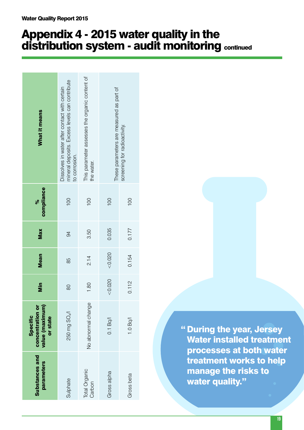# Appendix 4 - 2015 water quality in the distribution system - audit monitoring continued

| What it means                                               | mineral deposits. Excess levels can contribute<br>Dissolves in water after contact with certain<br>to corrosion. | This parameter assesses the organic content of<br>the water. | These parameters are measured as part of<br>screening for radioactivity. |            |  |
|-------------------------------------------------------------|------------------------------------------------------------------------------------------------------------------|--------------------------------------------------------------|--------------------------------------------------------------------------|------------|--|
| compliance<br>್ನೆ                                           | 100                                                                                                              | 100                                                          | $\overline{00}$                                                          | 100        |  |
| Max                                                         | $\overline{6}$                                                                                                   | 3.50                                                         | 0.035                                                                    | 0.177      |  |
| <b>Mean</b>                                                 | 85                                                                                                               | 2.14                                                         | < 0.020                                                                  | 0.154      |  |
| <b>Min</b>                                                  | 80                                                                                                               | 1.80                                                         | < 0.020                                                                  | 0.112      |  |
| value (maximum)<br>concentration or<br>Specific<br>or state | 250 mg SO <sub>4</sub> /l                                                                                        | No abnormal change                                           | $0.1$ Bq/                                                                | 1.0Bq/     |  |
| <b>Substances and</b><br>parameters                         | Sulphate                                                                                                         | Total Organic<br>Carbon                                      | Gross alpha                                                              | Gross beta |  |

" During the year, Jersey Water installed treatment processes at both water treatment works to help manage the risks to water quality."